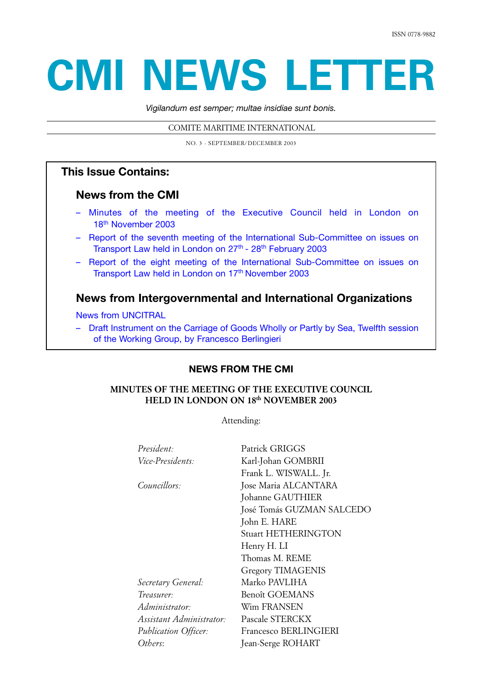# **CMI NEWS LETTER**

*Vigilandum est semper; multae insidiae sunt bonis.* 

COMITE MARITIME INTERNATIONAL

NO. 3 - SEPTEMBER/DECEMBER 2003

# **This Issue Contains:**

## **News from the CMI**

- Minutes of the meeting of the Executive Council held in London on 18<sup>th</sup> November 2003
- [Report of the seventh meeting of the International Sub-Committee on issues on](#page-9-0) Transport Law held in London on 27<sup>th</sup> - 28<sup>th</sup> February 2003
- [Report of the eight meeting of the International Sub-Committee on issues on](#page-14-0) Transport Law held in London on 17<sup>th</sup> November 2003

# **News from Intergovernmental and International Organizations**

News from UNCITRAL

– [Draft Instrument on the Carriage of Goods Wholly or Partly by Sea, Twelfth session](#page-19-0) of the Working Group, by Francesco Berlingieri

# **NEWS FROM THE CMI**

## **MINUTES OF THE MEETING OF THE EXECUTIVE COUNCIL HELD IN LONDON ON 18th NOVEMBER 2003**

Attending:

| President:                  | Patrick GRIGGS             |
|-----------------------------|----------------------------|
| Vice-Presidents:            | Karl-Johan GOMBRII         |
|                             | Frank L. WISWALL. Jr.      |
| Councillors:                | Jose Maria ALCANTARA       |
|                             | Johanne GAUTHIER           |
|                             | José Tomás GUZMAN SALCEDO  |
|                             | John E. HARE               |
|                             | <b>Stuart HETHERINGTON</b> |
|                             | Henry H. LI                |
|                             | Thomas M. REME             |
|                             | <b>Gregory TIMAGENIS</b>   |
| Secretary General:          | Marko PAVLIHA              |
| Treasurer:                  | Benoît GOEMANS             |
| Administrator:              | Wim FRANSEN                |
| Assistant Administrator:    | Pascale STERCKX            |
| <b>Publication Officer:</b> | Francesco BERLINGIERI      |
| Others:                     | Jean-Serge ROHART          |
|                             |                            |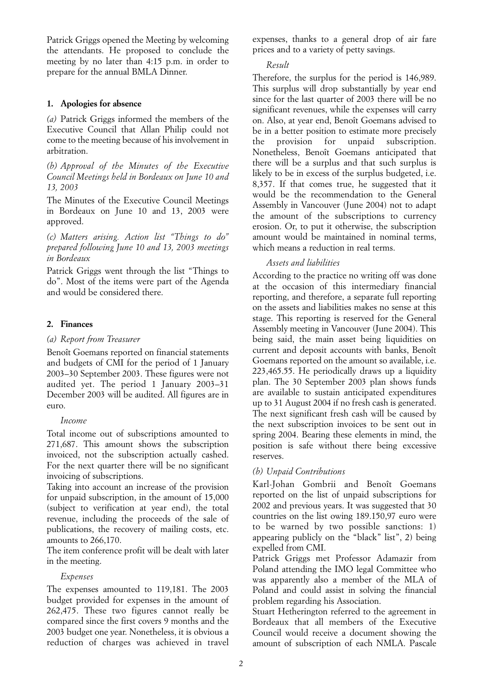Patrick Griggs opened the Meeting by welcoming the attendants. He proposed to conclude the meeting by no later than 4:15 p.m. in order to prepare for the annual BMLA Dinner.

## **1. Apologies for absence**

*(a)* Patrick Griggs informed the members of the Executive Council that Allan Philip could not come to the meeting because of his involvement in arbitration.

*(b) Approval of the Minutes of the Executive Council Meetings held in Bordeaux on June 10 and 13, 2003*

The Minutes of the Executive Council Meetings in Bordeaux on June 10 and 13, 2003 were approved.

*(c) Matters arising. Action list "Things to do" prepared following June 10 and 13, 2003 meetings in Bordeaux*

Patrick Griggs went through the list "Things to do". Most of the items were part of the Agenda and would be considered there.

## **2. Finances**

## *(a) Report from Treasurer*

Benoît Goemans reported on financial statements and budgets of CMI for the period of 1 January 2003–30 September 2003. These figures were not audited yet. The period 1 January 2003–31 December 2003 will be audited. All figures are in euro.

## *Income*

Total income out of subscriptions amounted to 271,687. This amount shows the subscription invoiced, not the subscription actually cashed. For the next quarter there will be no significant invoicing of subscriptions.

Taking into account an increase of the provision for unpaid subscription, in the amount of 15,000 (subject to verification at year end), the total revenue, including the proceeds of the sale of publications, the recovery of mailing costs, etc. amounts to 266,170.

The item conference profit will be dealt with later in the meeting.

## *Expenses*

The expenses amounted to 119,181. The 2003 budget provided for expenses in the amount of 262,475. These two figures cannot really be compared since the first covers 9 months and the 2003 budget one year. Nonetheless, it is obvious a reduction of charges was achieved in travel expenses, thanks to a general drop of air fare prices and to a variety of petty savings.

## *Result*

Therefore, the surplus for the period is 146,989. This surplus will drop substantially by year end since for the last quarter of 2003 there will be no significant revenues, while the expenses will carry on. Also, at year end, Benoît Goemans advised to be in a better position to estimate more precisely the provision for unpaid subscription. Nonetheless, Benoît Goemans anticipated that there will be a surplus and that such surplus is likely to be in excess of the surplus budgeted, i.e. 8,357. If that comes true, he suggested that it would be the recommendation to the General Assembly in Vancouver (June 2004) not to adapt the amount of the subscriptions to currency erosion. Or, to put it otherwise, the subscription amount would be maintained in nominal terms, which means a reduction in real terms.

## *Assets and liabilities*

According to the practice no writing off was done at the occasion of this intermediary financial reporting, and therefore, a separate full reporting on the assets and liabilities makes no sense at this stage. This reporting is reserved for the General Assembly meeting in Vancouver (June 2004). This being said, the main asset being liquidities on current and deposit accounts with banks, Benoît Goemans reported on the amount so available, i.e. 223,465.55. He periodically draws up a liquidity plan. The 30 September 2003 plan shows funds are available to sustain anticipated expenditures up to 31 August 2004 if no fresh cash is generated. The next significant fresh cash will be caused by the next subscription invoices to be sent out in spring 2004. Bearing these elements in mind, the position is safe without there being excessive reserves.

## *(b) Unpaid Contributions*

Karl-Johan Gombrii and Benoît Goemans reported on the list of unpaid subscriptions for 2002 and previous years. It was suggested that 30 countries on the list owing 189.150,97 euro were to be warned by two possible sanctions: 1) appearing publicly on the "black" list", 2) being expelled from CMI.

Patrick Griggs met Professor Adamazir from Poland attending the IMO legal Committee who was apparently also a member of the MLA of Poland and could assist in solving the financial problem regarding his Association.

Stuart Hetherington referred to the agreement in Bordeaux that all members of the Executive Council would receive a document showing the amount of subscription of each NMLA. Pascale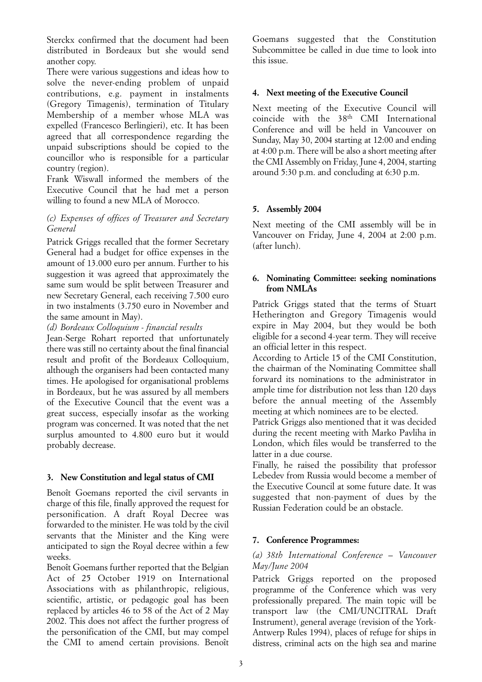Sterckx confirmed that the document had been distributed in Bordeaux but she would send another copy.

There were various suggestions and ideas how to solve the never-ending problem of unpaid contributions, e.g. payment in instalments (Gregory Timagenis), termination of Titulary Membership of a member whose MLA was expelled (Francesco Berlingieri), etc. It has been agreed that all correspondence regarding the unpaid subscriptions should be copied to the councillor who is responsible for a particular country (region).

Frank Wiswall informed the members of the Executive Council that he had met a person willing to found a new MLA of Morocco.

## *(c) Expenses of offices of Treasurer and Secretary General*

Patrick Griggs recalled that the former Secretary General had a budget for office expenses in the amount of 13.000 euro per annum. Further to his suggestion it was agreed that approximately the same sum would be split between Treasurer and new Secretary General, each receiving 7.500 euro in two instalments (3.750 euro in November and the same amount in May).

*(d) Bordeaux Colloquium - financial results*

Jean-Serge Rohart reported that unfortunately there was still no certainty about the final financial result and profit of the Bordeaux Colloquium, although the organisers had been contacted many times. He apologised for organisational problems in Bordeaux, but he was assured by all members of the Executive Council that the event was a great success, especially insofar as the working program was concerned. It was noted that the net surplus amounted to 4.800 euro but it would probably decrease.

## **3. New Constitution and legal status of CMI**

Benoît Goemans reported the civil servants in charge of this file, finally approved the request for personification. A draft Royal Decree was forwarded to the minister. He was told by the civil servants that the Minister and the King were anticipated to sign the Royal decree within a few weeks.

Benoît Goemans further reported that the Belgian Act of 25 October 1919 on International Associations with as philanthropic, religious, scientific, artistic, or pedagogic goal has been replaced by articles 46 to 58 of the Act of 2 May 2002. This does not affect the further progress of the personification of the CMI, but may compel the CMI to amend certain provisions. Benoît

Goemans suggested that the Constitution Subcommittee be called in due time to look into this issue.

## **4. Next meeting of the Executive Council**

Next meeting of the Executive Council will coincide with the 38th CMI International Conference and will be held in Vancouver on Sunday, May 30, 2004 starting at 12:00 and ending at 4:00 p.m. There will be also a short meeting after the CMI Assembly on Friday, June 4, 2004, starting around 5:30 p.m. and concluding at 6:30 p.m.

## **5. Assembly 2004**

Next meeting of the CMI assembly will be in Vancouver on Friday, June 4, 2004 at 2:00 p.m. (after lunch).

## **6. Nominating Committee: seeking nominations from NMLAs**

Patrick Griggs stated that the terms of Stuart Hetherington and Gregory Timagenis would expire in May 2004, but they would be both eligible for a second 4-year term. They will receive an official letter in this respect.

According to Article 15 of the CMI Constitution, the chairman of the Nominating Committee shall forward its nominations to the administrator in ample time for distribution not less than 120 days before the annual meeting of the Assembly meeting at which nominees are to be elected.

Patrick Griggs also mentioned that it was decided during the recent meeting with Marko Pavliha in London, which files would be transferred to the latter in a due course.

Finally, he raised the possibility that professor Lebedev from Russia would become a member of the Executive Council at some future date. It was suggested that non-payment of dues by the Russian Federation could be an obstacle.

## **7. Conference Programmes:**

## *(a) 38th International Conference – Vancouver May/June 2004*

Patrick Griggs reported on the proposed programme of the Conference which was very professionally prepared. The main topic will be transport law (the CMI/UNCITRAL Draft Instrument), general average (revision of the York-Antwerp Rules 1994), places of refuge for ships in distress, criminal acts on the high sea and marine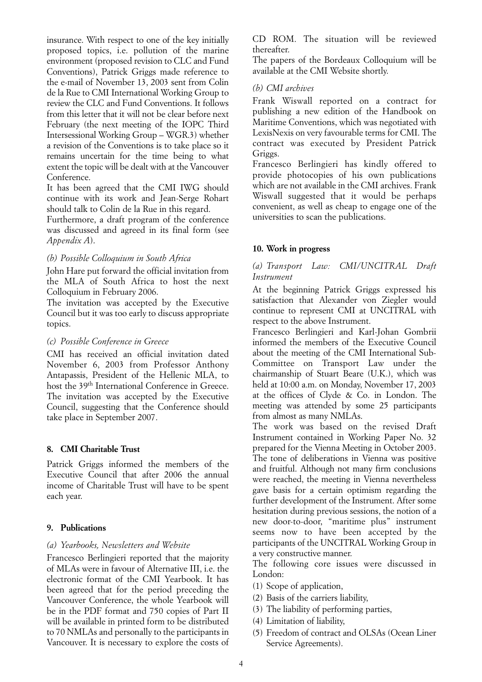insurance. With respect to one of the key initially proposed topics, i.e. pollution of the marine environment (proposed revision to CLC and Fund Conventions), Patrick Griggs made reference to the e-mail of November 13, 2003 sent from Colin de la Rue to CMI International Working Group to review the CLC and Fund Conventions. It follows from this letter that it will not be clear before next February (the next meeting of the IOPC Third Intersessional Working Group – WGR.3) whether a revision of the Conventions is to take place so it remains uncertain for the time being to what extent the topic will be dealt with at the Vancouver Conference.

It has been agreed that the CMI IWG should continue with its work and Jean-Serge Rohart should talk to Colin de la Rue in this regard.

Furthermore, a draft program of the conference was discussed and agreed in its final form (see *Appendix A*).

## *(b) Possible Colloquium in South Africa*

John Hare put forward the official invitation from the MLA of South Africa to host the next Colloquium in February 2006.

The invitation was accepted by the Executive Council but it was too early to discuss appropriate topics.

## *(c) Possible Conference in Greece*

CMI has received an official invitation dated November 6, 2003 from Professor Anthony Antapassis, President of the Hellenic MLA, to host the 39th International Conference in Greece. The invitation was accepted by the Executive Council, suggesting that the Conference should take place in September 2007.

## **8. CMI Charitable Trust**

Patrick Griggs informed the members of the Executive Council that after 2006 the annual income of Charitable Trust will have to be spent each year.

## **9. Publications**

## *(a) Yearbooks, Newsletters and Website*

Francesco Berlingieri reported that the majority of MLAs were in favour of Alternative III, i.e. the electronic format of the CMI Yearbook. It has been agreed that for the period preceding the Vancouver Conference, the whole Yearbook will be in the PDF format and 750 copies of Part II will be available in printed form to be distributed to 70 NMLAs and personally to the participants in Vancouver. It is necessary to explore the costs of

CD ROM. The situation will be reviewed thereafter.

The papers of the Bordeaux Colloquium will be available at the CMI Website shortly.

## *(b) CMI archives*

Frank Wiswall reported on a contract for publishing a new edition of the Handbook on Maritime Conventions, which was negotiated with LexisNexis on very favourable terms for CMI. The contract was executed by President Patrick Griggs.

Francesco Berlingieri has kindly offered to provide photocopies of his own publications which are not available in the CMI archives. Frank Wiswall suggested that it would be perhaps convenient, as well as cheap to engage one of the universities to scan the publications.

## **10. Work in progress**

## *(a) Transport Law: CMI/UNCITRAL Draft Instrument*

At the beginning Patrick Griggs expressed his satisfaction that Alexander von Ziegler would continue to represent CMI at UNCITRAL with respect to the above Instrument.

Francesco Berlingieri and Karl-Johan Gombrii informed the members of the Executive Council about the meeting of the CMI International Sub-Committee on Transport Law under the chairmanship of Stuart Beare (U.K.), which was held at 10:00 a.m. on Monday, November 17, 2003 at the offices of Clyde & Co. in London. The meeting was attended by some 25 participants from almost as many NMLAs.

The work was based on the revised Draft Instrument contained in Working Paper No. 32 prepared for the Vienna Meeting in October 2003. The tone of deliberations in Vienna was positive and fruitful. Although not many firm conclusions were reached, the meeting in Vienna nevertheless gave basis for a certain optimism regarding the further development of the Instrument. After some hesitation during previous sessions, the notion of a new door-to-door, "maritime plus" instrument seems now to have been accepted by the participants of the UNCITRAL Working Group in a very constructive manner.

The following core issues were discussed in London:

- (1) Scope of application,
- (2) Basis of the carriers liability,
- (3) The liability of performing parties,
- (4) Limitation of liability,
- (5) Freedom of contract and OLSAs (Ocean Liner Service Agreements).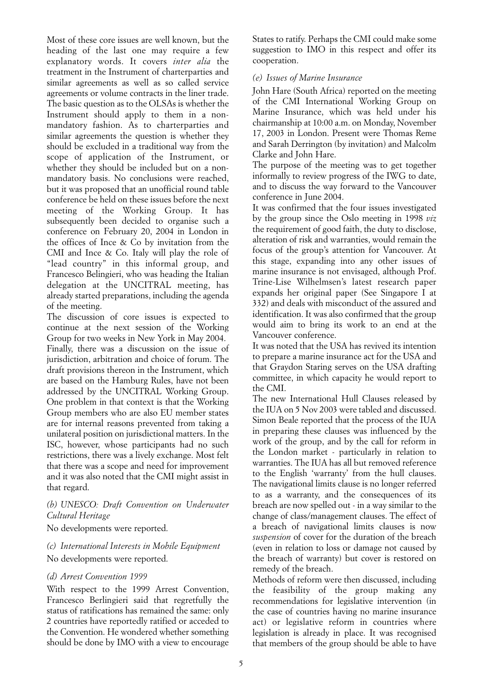Most of these core issues are well known, but the heading of the last one may require a few explanatory words. It covers *inter alia* the treatment in the Instrument of charterparties and similar agreements as well as so called service agreements or volume contracts in the liner trade. The basic question as to the OLSAs is whether the Instrument should apply to them in a nonmandatory fashion. As to charterparties and similar agreements the question is whether they should be excluded in a traditional way from the scope of application of the Instrument, or whether they should be included but on a nonmandatory basis. No conclusions were reached, but it was proposed that an unofficial round table conference be held on these issues before the next meeting of the Working Group. It has subsequently been decided to organise such a conference on February 20, 2004 in London in the offices of Ince & Co by invitation from the CMI and Ince & Co. Italy will play the role of "lead country" in this informal group, and Francesco Belingieri, who was heading the Italian delegation at the UNCITRAL meeting, has already started preparations, including the agenda of the meeting.

The discussion of core issues is expected to continue at the next session of the Working Group for two weeks in New York in May 2004. Finally, there was a discussion on the issue of jurisdiction, arbitration and choice of forum. The draft provisions thereon in the Instrument, which are based on the Hamburg Rules, have not been addressed by the UNCITRAL Working Group. One problem in that context is that the Working Group members who are also EU member states are for internal reasons prevented from taking a unilateral position on jurisdictional matters. In the ISC, however, whose participants had no such restrictions, there was a lively exchange. Most felt that there was a scope and need for improvement and it was also noted that the CMI might assist in that regard.

## *(b) UNESCO: Draft Convention on Underwater Cultural Heritage*

No developments were reported.

## *(c) International Interests in Mobile Equipment*  No developments were reported.

## *(d) Arrest Convention 1999*

With respect to the 1999 Arrest Convention, Francesco Berlingieri said that regretfully the status of ratifications has remained the same: only 2 countries have reportedly ratified or acceded to the Convention. He wondered whether something should be done by IMO with a view to encourage States to ratify. Perhaps the CMI could make some suggestion to IMO in this respect and offer its cooperation.

## *(e) Issues of Marine Insurance*

John Hare (South Africa) reported on the meeting of the CMI International Working Group on Marine Insurance, which was held under his chairmanship at 10:00 a.m. on Monday, November 17, 2003 in London. Present were Thomas Reme and Sarah Derrington (by invitation) and Malcolm Clarke and John Hare.

The purpose of the meeting was to get together informally to review progress of the IWG to date, and to discuss the way forward to the Vancouver conference in June 2004.

It was confirmed that the four issues investigated by the group since the Oslo meeting in 1998 *viz* the requirement of good faith, the duty to disclose, alteration of risk and warranties, would remain the focus of the group's attention for Vancouver. At this stage, expanding into any other issues of marine insurance is not envisaged, although Prof. Trine-Lise Wilhelmsen's latest research paper expands her original paper (See Singapore I at 332) and deals with misconduct of the assured and identification. It was also confirmed that the group would aim to bring its work to an end at the Vancouver conference.

It was noted that the USA has revived its intention to prepare a marine insurance act for the USA and that Graydon Staring serves on the USA drafting committee, in which capacity he would report to the CMI.

The new International Hull Clauses released by the IUA on 5 Nov 2003 were tabled and discussed. Simon Beale reported that the process of the IUA in preparing these clauses was influenced by the work of the group, and by the call for reform in the London market - particularly in relation to warranties. The IUA has all but removed reference to the English 'warranty' from the hull clauses. The navigational limits clause is no longer referred to as a warranty, and the consequences of its breach are now spelled out - in a way similar to the change of class/management clauses. The effect of a breach of navigational limits clauses is now *suspension* of cover for the duration of the breach (even in relation to loss or damage not caused by the breach of warranty) but cover is restored on remedy of the breach.

Methods of reform were then discussed, including the feasibility of the group making any recommendations for legislative intervention (in the case of countries having no marine insurance act) or legislative reform in countries where legislation is already in place. It was recognised that members of the group should be able to have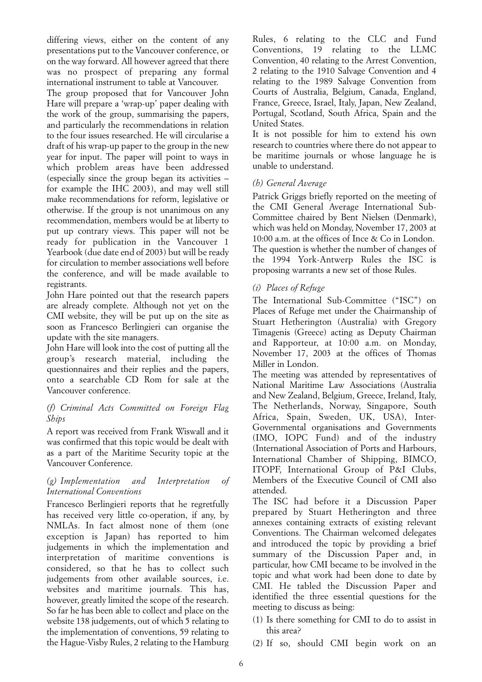differing views, either on the content of any presentations put to the Vancouver conference, or on the way forward. All however agreed that there was no prospect of preparing any formal international instrument to table at Vancouver.

The group proposed that for Vancouver John Hare will prepare a 'wrap-up' paper dealing with the work of the group, summarising the papers, and particularly the recommendations in relation to the four issues researched. He will circularise a draft of his wrap-up paper to the group in the new year for input. The paper will point to ways in which problem areas have been addressed (especially since the group began its activities – for example the IHC 2003), and may well still make recommendations for reform, legislative or otherwise. If the group is not unanimous on any recommendation, members would be at liberty to put up contrary views. This paper will not be ready for publication in the Vancouver 1 Yearbook (due date end of 2003) but will be ready for circulation to member associations well before the conference, and will be made available to registrants.

John Hare pointed out that the research papers are already complete. Although not yet on the CMI website, they will be put up on the site as soon as Francesco Berlingieri can organise the update with the site managers.

John Hare will look into the cost of putting all the group's research material, including the questionnaires and their replies and the papers, onto a searchable CD Rom for sale at the Vancouver conference.

## *(f) Criminal Acts Committed on Foreign Flag Ships*

A report was received from Frank Wiswall and it was confirmed that this topic would be dealt with as a part of the Maritime Security topic at the Vancouver Conference.

## *(g) Implementation and Interpretation of International Conventions*

Francesco Berlingieri reports that he regretfully has received very little co-operation, if any, by NMLAs. In fact almost none of them (one exception is Japan) has reported to him judgements in which the implementation and interpretation of maritime conventions is considered, so that he has to collect such judgements from other available sources, i.e. websites and maritime journals. This has, however, greatly limited the scope of the research. So far he has been able to collect and place on the website 138 judgements, out of which 5 relating to the implementation of conventions, 59 relating to the Hague-Visby Rules, 2 relating to the Hamburg Rules, 6 relating to the CLC and Fund Conventions, 19 relating to the LLMC Convention, 40 relating to the Arrest Convention, 2 relating to the 1910 Salvage Convention and 4 relating to the 1989 Salvage Convention from Courts of Australia, Belgium, Canada, England, France, Greece, Israel, Italy, Japan, New Zealand, Portugal, Scotland, South Africa, Spain and the United States.

It is not possible for him to extend his own research to countries where there do not appear to be maritime journals or whose language he is unable to understand.

## *(h) General Average*

Patrick Griggs briefly reported on the meeting of the CMI General Average International Sub-Committee chaired by Bent Nielsen (Denmark), which was held on Monday, November 17, 2003 at 10:00 a.m. at the offices of Ince & Co in London. The question is whether the number of changes of the 1994 York-Antwerp Rules the ISC is proposing warrants a new set of those Rules.

## *(i) Places of Refuge*

The International Sub-Committee ("ISC") on Places of Refuge met under the Chairmanship of Stuart Hetherington (Australia) with Gregory Timagenis (Greece) acting as Deputy Chairman and Rapporteur, at 10:00 a.m. on Monday, November 17, 2003 at the offices of Thomas Miller in London.

The meeting was attended by representatives of National Maritime Law Associations (Australia and New Zealand, Belgium, Greece, Ireland, Italy, The Netherlands, Norway, Singapore, South Africa, Spain, Sweden, UK, USA), Inter-Governmental organisations and Governments (IMO, IOPC Fund) and of the industry (International Association of Ports and Harbours, International Chamber of Shipping, BIMCO, ITOPF, International Group of P&I Clubs, Members of the Executive Council of CMI also attended.

The ISC had before it a Discussion Paper prepared by Stuart Hetherington and three annexes containing extracts of existing relevant Conventions. The Chairman welcomed delegates and introduced the topic by providing a brief summary of the Discussion Paper and, in particular, how CMI became to be involved in the topic and what work had been done to date by CMI. He tabled the Discussion Paper and identified the three essential questions for the meeting to discuss as being:

- (1) Is there something for CMI to do to assist in this area?
- (2) If so, should CMI begin work on an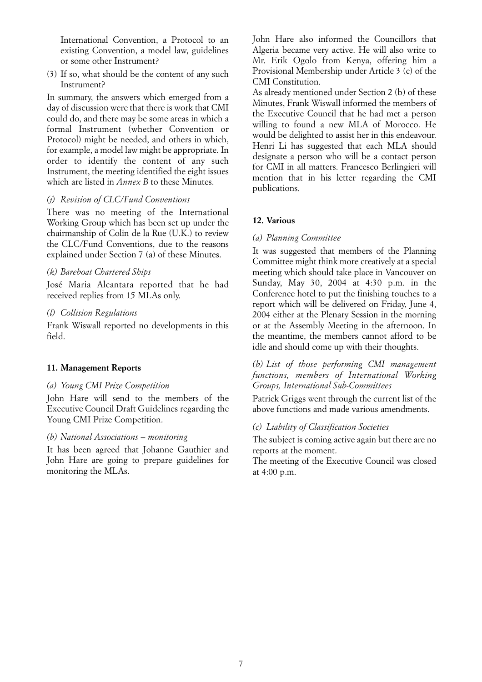International Convention, a Protocol to an existing Convention, a model law, guidelines or some other Instrument?

(3) If so, what should be the content of any such Instrument?

In summary, the answers which emerged from a day of discussion were that there is work that CMI could do, and there may be some areas in which a formal Instrument (whether Convention or Protocol) might be needed, and others in which, for example, a model law might be appropriate. In order to identify the content of any such Instrument, the meeting identified the eight issues which are listed in *Annex B* to these Minutes.

## *(j) Revision of CLC/Fund Conventions*

There was no meeting of the International Working Group which has been set up under the chairmanship of Colin de la Rue (U.K.) to review the CLC/Fund Conventions, due to the reasons explained under Section 7 (a) of these Minutes.

## *(k) Bareboat Chartered Ships*

José Maria Alcantara reported that he had received replies from 15 MLAs only.

## *(l) Collision Regulations*

Frank Wiswall reported no developments in this field.

## **11. Management Reports**

#### *(a) Young CMI Prize Competition*

John Hare will send to the members of the Executive Council Draft Guidelines regarding the Young CMI Prize Competition.

#### *(b) National Associations – monitoring*

It has been agreed that Johanne Gauthier and John Hare are going to prepare guidelines for monitoring the MLAs.

John Hare also informed the Councillors that Algeria became very active. He will also write to Mr. Erik Ogolo from Kenya, offering him a Provisional Membership under Article 3 (c) of the CMI Constitution.

As already mentioned under Section 2 (b) of these Minutes, Frank Wiswall informed the members of the Executive Council that he had met a person willing to found a new MLA of Morocco. He would be delighted to assist her in this endeavour. Henri Li has suggested that each MLA should designate a person who will be a contact person for CMI in all matters. Francesco Berlingieri will mention that in his letter regarding the CMI publications.

## **12. Various**

#### *(a) Planning Committee*

It was suggested that members of the Planning Committee might think more creatively at a special meeting which should take place in Vancouver on Sunday, May 30, 2004 at 4:30 p.m. in the Conference hotel to put the finishing touches to a report which will be delivered on Friday, June 4, 2004 either at the Plenary Session in the morning or at the Assembly Meeting in the afternoon. In the meantime, the members cannot afford to be idle and should come up with their thoughts.

## *(b) List of those performing CMI management functions, members of International Working Groups, International Sub-Committees*

Patrick Griggs went through the current list of the above functions and made various amendments.

#### *(c) Liability of Classification Societies*

The subject is coming active again but there are no reports at the moment.

The meeting of the Executive Council was closed at 4:00 p.m.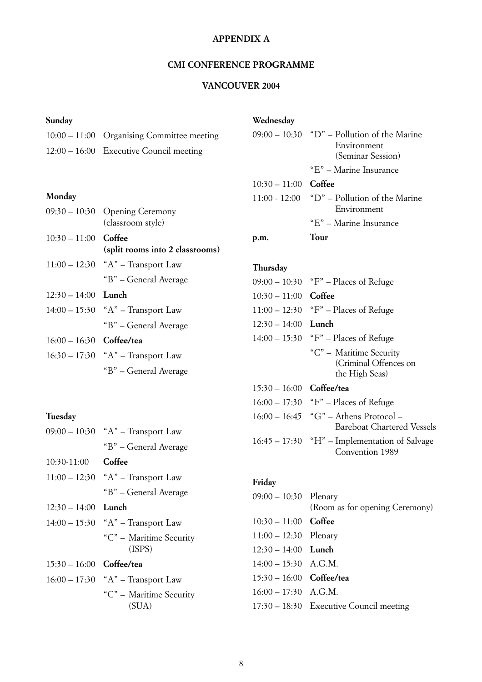# **APPENDIX A**

## **CMI CONFERENCE PROGRAMME**

# **VANCOUVER 2004**

# **Sunday**

| 10:00 – 11:00 Organising Committee meeting |
|--------------------------------------------|
| $12:00 - 16:00$ Executive Council meeting  |

# **Monday**

|                            | 09:30 – 10:30 Opening Ceremony<br>(classroom style) |
|----------------------------|-----------------------------------------------------|
| $10:30 - 11:00$ Coffee     | (split rooms into 2 classrooms)                     |
|                            | $11:00 - 12:30$ "A" – Transport Law                 |
|                            | "B" – General Average                               |
| $12:30 - 14:00$ Lunch      |                                                     |
|                            | $14:00 - 15:30$ "A" – Transport Law                 |
|                            | "B" – General Average                               |
| $16:00 - 16:30$ Coffee/tea |                                                     |
|                            | $16:30 - 17:30$ "A" – Transport Law                 |
|                            | "B" – General Average                               |

# **Tuesday**

| $09:00 - 10:30$ | "A" – Transport Law               |
|-----------------|-----------------------------------|
|                 | "B" - General Average             |
| $10:30-11:00$   | Coffee                            |
| $11:00 - 12:30$ | "A" – Transport Law               |
|                 | "B" - General Average             |
| $12:30 - 14:00$ | Lunch                             |
| $14:00 - 15:30$ | " $A$ " – Transport Law           |
|                 | "C" - Maritime Security<br>(ISPS) |
| $15:30 - 16:00$ | Coffee/tea                        |
| $16:00 - 17:30$ | $A''$ – Transport Law             |
|                 | "C" - Maritime Security<br>(SUA)  |

# **Wednesday**

|                        | Tour                                          |
|------------------------|-----------------------------------------------|
|                        | "E" – Marine Insurance                        |
|                        | Environment                                   |
|                        | $11:00 - 12:00$ "D" – Pollution of the Marine |
| $10:30 - 11:00$ Coffee |                                               |
|                        | "E" – Marine Insurance                        |
|                        | (Seminar Session)                             |
|                        | Environment                                   |
|                        | $09:00 - 10:30$ "D" – Pollution of the Marine |
|                        |                                               |

# **Thursday**

| $09:00 - 10:30$ | "F" – Places of Refuge                                             |
|-----------------|--------------------------------------------------------------------|
| $10:30 - 11:00$ | Coffee                                                             |
| $11:00 - 12:30$ | "F" – Places of Refuge                                             |
| $12:30 - 14:00$ | Lunch                                                              |
|                 | $14:00 - 15:30$ "F" – Places of Refuge                             |
|                 | "C" – Maritime Security<br>(Criminal Offences on<br>the High Seas) |
| $15:30 - 16:00$ | Coffee/tea                                                         |
| $16:00 - 17:30$ | "F" – Places of Refuge                                             |
| $16:00 - 16:45$ | "G" – Athens Protocol –<br><b>Bareboat Chartered Vessels</b>       |
|                 | $16:45 - 17:30$ "H" – Implementation of Salvage<br>Convention 1989 |

## **Friday**

| $09:00 - 10:30$ Plenary    | (Room as for opening Ceremony)            |
|----------------------------|-------------------------------------------|
| $10:30 - 11:00$ Coffee     |                                           |
| $11:00 - 12:30$ Plenary    |                                           |
| $12:30 - 14:00$ Lunch      |                                           |
| $14:00 - 15:30$ A.G.M.     |                                           |
| $15:30 - 16:00$ Coffee/tea |                                           |
| $16:00 - 17:30$ A.G.M.     |                                           |
|                            | $17:30 - 18:30$ Executive Council meeting |
|                            |                                           |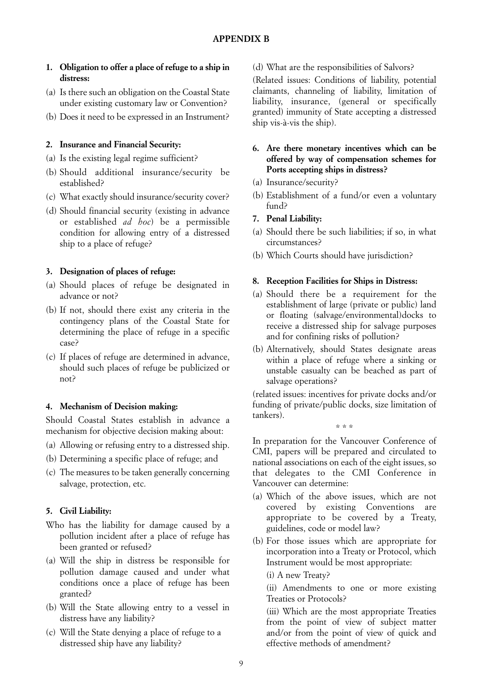- **1. Obligation to offer a place of refuge to a ship in distress:**
- (a) Is there such an obligation on the Coastal State under existing customary law or Convention?
- (b) Does it need to be expressed in an Instrument?

## **2. Insurance and Financial Security:**

- (a) Is the existing legal regime sufficient?
- (b) Should additional insurance/security be established?
- (c) What exactly should insurance/security cover?
- (d) Should financial security (existing in advance or established *ad hoc*) be a permissible condition for allowing entry of a distressed ship to a place of refuge?

## **3. Designation of places of refuge:**

- (a) Should places of refuge be designated in advance or not?
- (b) If not, should there exist any criteria in the contingency plans of the Coastal State for determining the place of refuge in a specific case?
- (c) If places of refuge are determined in advance, should such places of refuge be publicized or not?

## **4. Mechanism of Decision making:**

Should Coastal States establish in advance a mechanism for objective decision making about:

- (a) Allowing or refusing entry to a distressed ship.
- (b) Determining a specific place of refuge; and
- (c) The measures to be taken generally concerning salvage, protection, etc.

## **5. Civil Liability:**

- Who has the liability for damage caused by a pollution incident after a place of refuge has been granted or refused?
- (a) Will the ship in distress be responsible for pollution damage caused and under what conditions once a place of refuge has been granted?
- (b) Will the State allowing entry to a vessel in distress have any liability?
- (c) Will the State denying a place of refuge to a distressed ship have any liability?

(d) What are the responsibilities of Salvors?

(Related issues: Conditions of liability, potential claimants, channeling of liability, limitation of liability, insurance, (general or specifically granted) immunity of State accepting a distressed ship vis-à-vis the ship).

## **6. Are there monetary incentives which can be offered by way of compensation schemes for Ports accepting ships in distress?**

- (a) Insurance/security?
- (b) Establishment of a fund/or even a voluntary fund?
- **7. Penal Liability:**
- (a) Should there be such liabilities; if so, in what circumstances?
- (b) Which Courts should have jurisdiction?

## **8. Reception Facilities for Ships in Distress:**

- (a) Should there be a requirement for the establishment of large (private or public) land or floating (salvage/environmental)docks to receive a distressed ship for salvage purposes and for confining risks of pollution?
- (b) Alternatively, should States designate areas within a place of refuge where a sinking or unstable casualty can be beached as part of salvage operations?

(related issues: incentives for private docks and/or funding of private/public docks, size limitation of tankers).

\*\*\*

In preparation for the Vancouver Conference of CMI, papers will be prepared and circulated to national associations on each of the eight issues, so that delegates to the CMI Conference in Vancouver can determine:

- (a) Which of the above issues, which are not covered by existing Conventions are appropriate to be covered by a Treaty, guidelines, code or model law?
- (b) For those issues which are appropriate for incorporation into a Treaty or Protocol, which Instrument would be most appropriate:

(i) A new Treaty?

(ii) Amendments to one or more existing Treaties or Protocols?

(iii) Which are the most appropriate Treaties from the point of view of subject matter and/or from the point of view of quick and effective methods of amendment?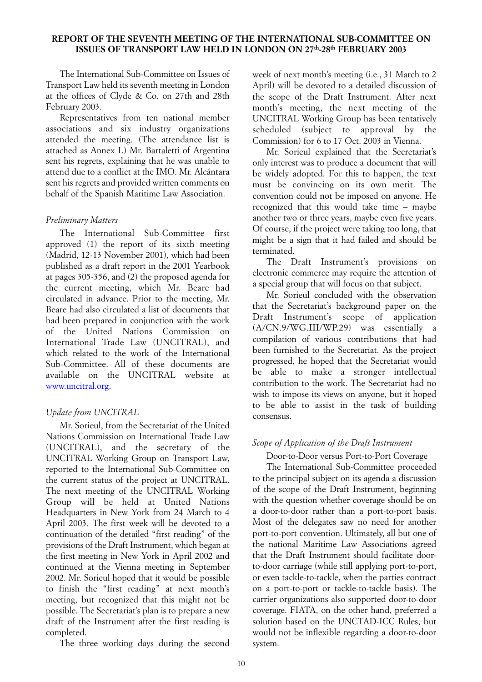## <span id="page-9-0"></span>**REPORT OF THE SEVENTH MEETING OF THE INTERNATIONAL SUB-COMMITTEE ON ISSUES OF TRANSPORT LAW HELD IN LONDON ON 27th-28th FEBRUARY 2003**

The International Sub-Committee on Issues of Transport Law held its seventh meeting in London at the offices of Clyde & Co. on 27th and 28th February 2003.

Representatives from ten national member associations and six industry organizations attended the meeting. (The attendance list is attached as Annex I.) Mr. Bartaletti of Argentina sent his regrets, explaining that he was unable to attend due to a conflict at the IMO. Mr. Alcántara sent his regrets and provided written comments on behalf of the Spanish Maritime Law Association.

## *Preliminary Matters*

The International Sub-Committee first approved (1) the report of its sixth meeting (Madrid, 12-13 November 2001), which had been published as a draft report in the 2001 Yearbook at pages 305-356, and (2) the proposed agenda for the current meeting, which Mr. Beare had circulated in advance. Prior to the meeting, Mr. Beare had also circulated a list of documents that had been prepared in conjunction with the work of the United Nations Commission on International Trade Law (UNCITRAL), and which related to the work of the International Sub-Committee. All of these documents are available on the UNCITRAL website at [www.uncitral.org.](www.uncitral.org)

## *Update from UNCITRAL*

Mr. Sorieul, from the Secretariat of the United Nations Commission on International Trade Law (UNCITRAL), and the secretary of the UNCITRAL Working Group on Transport Law, reported to the International Sub-Committee on the current status of the project at UNCITRAL. The next meeting of the UNCITRAL Working Group will be held at United Nations Headquarters in New York from 24 March to 4 April 2003. The first week will be devoted to a continuation of the detailed "first reading" of the provisions of the Draft Instrument, which began at the first meeting in New York in April 2002 and continued at the Vienna meeting in September 2002. Mr. Sorieul hoped that it would be possible to finish the "first reading" at next month's meeting, but recognized that this might not be possible. The Secretariat's plan is to prepare a new draft of the Instrument after the first reading is completed.

The three working days during the second

week of next month's meeting (i.e., 31 March to 2 April) will be devoted to a detailed discussion of the scope of the Draft Instrument. After next month's meeting, the next meeting of the UNCITRAL Working Group has been tentatively scheduled (subject to approval by the Commission) for 6 to 17 Oct. 2003 in Vienna.

Mr. Sorieul explained that the Secretariat's only interest was to produce a document that will be widely adopted. For this to happen, the text must be convincing on its own merit. The convention could not be imposed on anyone. He recognized that this would take time – maybe another two or three years, maybe even five years. Of course, if the project were taking too long, that might be a sign that it had failed and should be terminated.

The Draft Instrument's provisions on electronic commerce may require the attention of a special group that will focus on that subject.

Mr. Sorieul concluded with the observation that the Secretariat's background paper on the Draft Instrument's scope of application (A/CN.9/WG.III/WP.29) was essentially a compilation of various contributions that had been furnished to the Secretariat. As the project progressed, he hoped that the Secretariat would be able to make a stronger intellectual contribution to the work. The Secretariat had no wish to impose its views on anyone, but it hoped to be able to assist in the task of building consensus.

## *Scope of Application of the Draft Instrument*

Door-to-Door versus Port-to-Port Coverage

The International Sub-Committee proceeded to the principal subject on its agenda a discussion of the scope of the Draft Instrument, beginning with the question whether coverage should be on a door-to-door rather than a port-to-port basis. Most of the delegates saw no need for another port-to-port convention. Ultimately, all but one of the national Maritime Law Associations agreed that the Draft Instrument should facilitate doorto-door carriage (while still applying port-to-port, or even tackle-to-tackle, when the parties contract on a port-to-port or tackle-to-tackle basis). The carrier organizations also supported door-to-door coverage. FIATA, on the other hand, preferred a solution based on the UNCTAD-ICC Rules, but would not be inflexible regarding a door-to-door system.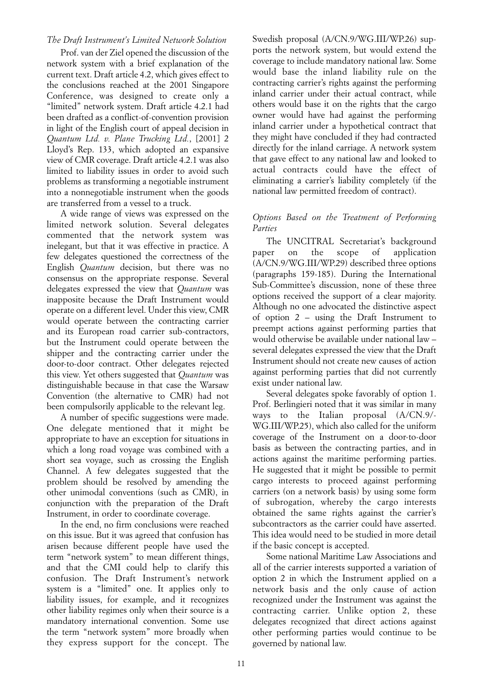## *The Draft Instrument's Limited Network Solution*

Prof. van der Ziel opened the discussion of the network system with a brief explanation of the current text. Draft article 4.2, which gives effect to the conclusions reached at the 2001 Singapore Conference, was designed to create only a "limited" network system. Draft article 4.2.1 had been drafted as a conflict-of-convention provision in light of the English court of appeal decision in *Quantum Ltd. v. Plane Trucking Ltd.*, [2001] 2 Lloyd's Rep. 133, which adopted an expansive view of CMR coverage. Draft article 4.2.1 was also limited to liability issues in order to avoid such problems as transforming a negotiable instrument into a nonnegotiable instrument when the goods are transferred from a vessel to a truck.

A wide range of views was expressed on the limited network solution. Several delegates commented that the network system was inelegant, but that it was effective in practice. A few delegates questioned the correctness of the English *Quantum* decision, but there was no consensus on the appropriate response. Several delegates expressed the view that *Quantum* was inapposite because the Draft Instrument would operate on a different level. Under this view, CMR would operate between the contracting carrier and its European road carrier sub-contractors, but the Instrument could operate between the shipper and the contracting carrier under the door-to-door contract. Other delegates rejected this view. Yet others suggested that *Quantum* was distinguishable because in that case the Warsaw Convention (the alternative to CMR) had not been compulsorily applicable to the relevant leg.

A number of specific suggestions were made. One delegate mentioned that it might be appropriate to have an exception for situations in which a long road voyage was combined with a short sea voyage, such as crossing the English Channel. A few delegates suggested that the problem should be resolved by amending the other unimodal conventions (such as CMR), in conjunction with the preparation of the Draft Instrument, in order to coordinate coverage.

In the end, no firm conclusions were reached on this issue. But it was agreed that confusion has arisen because different people have used the term "network system" to mean different things, and that the CMI could help to clarify this confusion. The Draft Instrument's network system is a "limited" one. It applies only to liability issues, for example, and it recognizes other liability regimes only when their source is a mandatory international convention. Some use the term "network system" more broadly when they express support for the concept. The Swedish proposal (A/CN.9/WG.III/WP.26) supports the network system, but would extend the coverage to include mandatory national law. Some would base the inland liability rule on the contracting carrier's rights against the performing inland carrier under their actual contract, while others would base it on the rights that the cargo owner would have had against the performing inland carrier under a hypothetical contract that they might have concluded if they had contracted directly for the inland carriage. A network system that gave effect to any national law and looked to actual contracts could have the effect of eliminating a carrier's liability completely (if the national law permitted freedom of contract).

## *Options Based on the Treatment of Performing Parties*

The UNCITRAL Secretariat's background paper on the scope of application (A/CN.9/WG.III/WP.29) described three options (paragraphs 159-185). During the International Sub-Committee's discussion, none of these three options received the support of a clear majority. Although no one advocated the distinctive aspect of option 2 – using the Draft Instrument to preempt actions against performing parties that would otherwise be available under national law – several delegates expressed the view that the Draft Instrument should not create new causes of action against performing parties that did not currently exist under national law.

Several delegates spoke favorably of option 1. Prof. Berlingieri noted that it was similar in many ways to the Italian proposal (A/CN.9/- WG.III/WP.25), which also called for the uniform coverage of the Instrument on a door-to-door basis as between the contracting parties, and in actions against the maritime performing parties. He suggested that it might be possible to permit cargo interests to proceed against performing carriers (on a network basis) by using some form of subrogation, whereby the cargo interests obtained the same rights against the carrier's subcontractors as the carrier could have asserted. This idea would need to be studied in more detail if the basic concept is accepted.

Some national Maritime Law Associations and all of the carrier interests supported a variation of option 2 in which the Instrument applied on a network basis and the only cause of action recognized under the Instrument was against the contracting carrier. Unlike option 2, these delegates recognized that direct actions against other performing parties would continue to be governed by national law.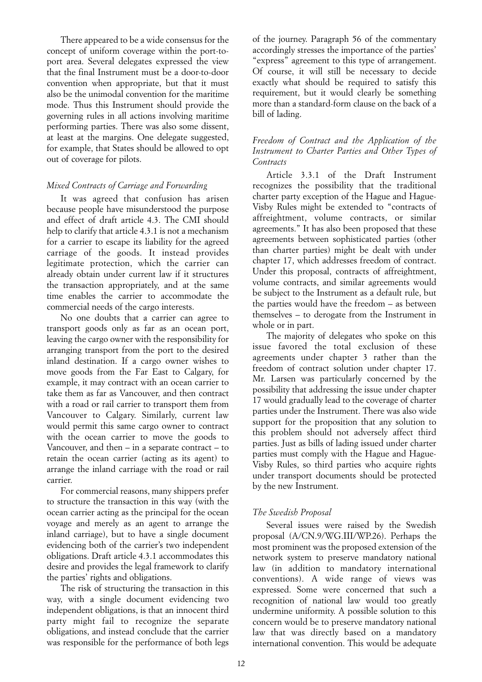There appeared to be a wide consensus for the concept of uniform coverage within the port-toport area. Several delegates expressed the view that the final Instrument must be a door-to-door convention when appropriate, but that it must also be the unimodal convention for the maritime mode. Thus this Instrument should provide the governing rules in all actions involving maritime performing parties. There was also some dissent, at least at the margins. One delegate suggested, for example, that States should be allowed to opt out of coverage for pilots.

## *Mixed Contracts of Carriage and Forwarding*

It was agreed that confusion has arisen because people have misunderstood the purpose and effect of draft article 4.3. The CMI should help to clarify that article 4.3.1 is not a mechanism for a carrier to escape its liability for the agreed carriage of the goods. It instead provides legitimate protection, which the carrier can already obtain under current law if it structures the transaction appropriately, and at the same time enables the carrier to accommodate the commercial needs of the cargo interests.

No one doubts that a carrier can agree to transport goods only as far as an ocean port, leaving the cargo owner with the responsibility for arranging transport from the port to the desired inland destination. If a cargo owner wishes to move goods from the Far East to Calgary, for example, it may contract with an ocean carrier to take them as far as Vancouver, and then contract with a road or rail carrier to transport them from Vancouver to Calgary. Similarly, current law would permit this same cargo owner to contract with the ocean carrier to move the goods to Vancouver, and then – in a separate contract – to retain the ocean carrier (acting as its agent) to arrange the inland carriage with the road or rail carrier.

For commercial reasons, many shippers prefer to structure the transaction in this way (with the ocean carrier acting as the principal for the ocean voyage and merely as an agent to arrange the inland carriage), but to have a single document evidencing both of the carrier's two independent obligations. Draft article 4.3.1 accommodates this desire and provides the legal framework to clarify the parties' rights and obligations.

The risk of structuring the transaction in this way, with a single document evidencing two independent obligations, is that an innocent third party might fail to recognize the separate obligations, and instead conclude that the carrier was responsible for the performance of both legs of the journey. Paragraph 56 of the commentary accordingly stresses the importance of the parties' "express" agreement to this type of arrangement. Of course, it will still be necessary to decide exactly what should be required to satisfy this requirement, but it would clearly be something more than a standard-form clause on the back of a bill of lading.

## *Freedom of Contract and the Application of the Instrument to Charter Parties and Other Types of Contracts*

Article 3.3.1 of the Draft Instrument recognizes the possibility that the traditional charter party exception of the Hague and Hague-Visby Rules might be extended to "contracts of affreightment, volume contracts, or similar agreements." It has also been proposed that these agreements between sophisticated parties (other than charter parties) might be dealt with under chapter 17, which addresses freedom of contract. Under this proposal, contracts of affreightment, volume contracts, and similar agreements would be subject to the Instrument as a default rule, but the parties would have the freedom – as between themselves – to derogate from the Instrument in whole or in part.

The majority of delegates who spoke on this issue favored the total exclusion of these agreements under chapter 3 rather than the freedom of contract solution under chapter 17. Mr. Larsen was particularly concerned by the possibility that addressing the issue under chapter 17 would gradually lead to the coverage of charter parties under the Instrument. There was also wide support for the proposition that any solution to this problem should not adversely affect third parties. Just as bills of lading issued under charter parties must comply with the Hague and Hague-Visby Rules, so third parties who acquire rights under transport documents should be protected by the new Instrument.

## *The Swedish Proposal*

Several issues were raised by the Swedish proposal (A/CN.9/WG.III/WP.26). Perhaps the most prominent was the proposed extension of the network system to preserve mandatory national law (in addition to mandatory international conventions). A wide range of views was expressed. Some were concerned that such a recognition of national law would too greatly undermine uniformity. A possible solution to this concern would be to preserve mandatory national law that was directly based on a mandatory international convention. This would be adequate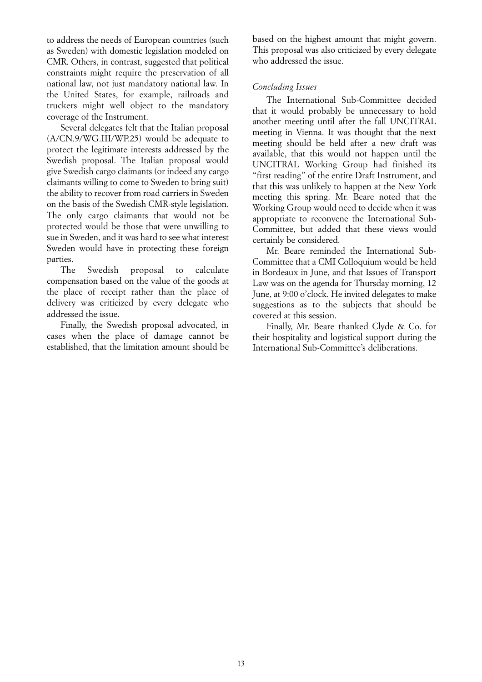to address the needs of European countries (such as Sweden) with domestic legislation modeled on CMR. Others, in contrast, suggested that political constraints might require the preservation of all national law, not just mandatory national law. In the United States, for example, railroads and truckers might well object to the mandatory coverage of the Instrument.

Several delegates felt that the Italian proposal (A/CN.9/WG.III/WP.25) would be adequate to protect the legitimate interests addressed by the Swedish proposal. The Italian proposal would give Swedish cargo claimants (or indeed any cargo claimants willing to come to Sweden to bring suit) the ability to recover from road carriers in Sweden on the basis of the Swedish CMR-style legislation. The only cargo claimants that would not be protected would be those that were unwilling to sue in Sweden, and it was hard to see what interest Sweden would have in protecting these foreign parties.

The Swedish proposal to calculate compensation based on the value of the goods at the place of receipt rather than the place of delivery was criticized by every delegate who addressed the issue.

Finally, the Swedish proposal advocated, in cases when the place of damage cannot be established, that the limitation amount should be based on the highest amount that might govern. This proposal was also criticized by every delegate who addressed the issue.

## *Concluding Issues*

The International Sub-Committee decided that it would probably be unnecessary to hold another meeting until after the fall UNCITRAL meeting in Vienna. It was thought that the next meeting should be held after a new draft was available, that this would not happen until the UNCITRAL Working Group had finished its "first reading" of the entire Draft Instrument, and that this was unlikely to happen at the New York meeting this spring. Mr. Beare noted that the Working Group would need to decide when it was appropriate to reconvene the International Sub-Committee, but added that these views would certainly be considered.

Mr. Beare reminded the International Sub-Committee that a CMI Colloquium would be held in Bordeaux in June, and that Issues of Transport Law was on the agenda for Thursday morning, 12 June, at 9:00 o'clock. He invited delegates to make suggestions as to the subjects that should be covered at this session.

Finally, Mr. Beare thanked Clyde & Co. for their hospitality and logistical support during the International Sub-Committee's deliberations.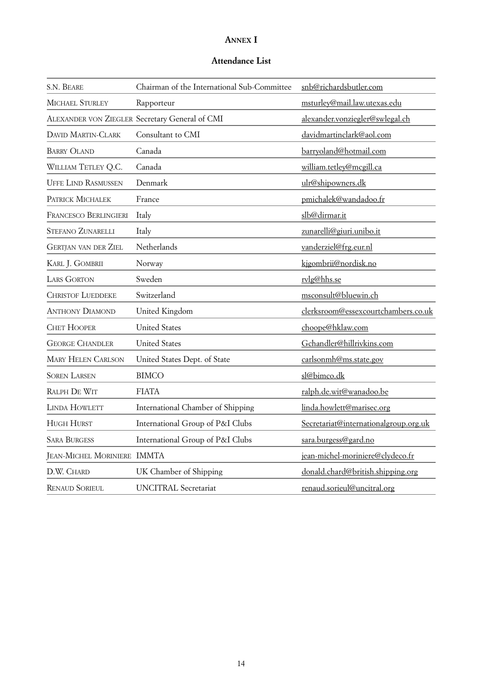# **ANNEX I**

## **Attendance List**

| S.N. BEARE                   | Chairman of the International Sub-Committee    | snb@richardsbutler.com                |
|------------------------------|------------------------------------------------|---------------------------------------|
| <b>MICHAEL STURLEY</b>       | Rapporteur                                     | msturley@mail.law.utexas.edu          |
|                              | ALEXANDER VON ZIEGLER Secretary General of CMI | alexander.vonziegler@swlegal.ch       |
| <b>DAVID MARTIN-CLARK</b>    | Consultant to CMI                              | davidmartinclark@aol.com              |
| <b>BARRY OLAND</b>           | Canada                                         | barryoland@hotmail.com                |
| WILLIAM TETLEY Q.C.          | Canada                                         | william.tetley@mcgill.ca              |
| <b>UFFE LIND RASMUSSEN</b>   | Denmark                                        | ulr@shipowners.dk                     |
| PATRICK MICHALEK             | France                                         | pmichalek@wandadoo.fr                 |
| <b>FRANCESCO BERLINGIERI</b> | Italy                                          | slb@dirmar.it                         |
| <b>STEFANO ZUNARELLI</b>     | Italy                                          | zunarelli@giuri.unibo.it              |
| <b>GERTJAN VAN DER ZIEL</b>  | Netherlands                                    | vanderziel@frg.eur.nl                 |
| KARL J. GOMBRII              | Norway                                         | kjgombrii@nordisk.no                  |
| <b>LARS GORTON</b>           | Sweden                                         | rylg@hhs.se                           |
| <b>CHRISTOF LUEDDEKE</b>     | Switzerland                                    | msconsult@bluewin.ch                  |
| <b>ANTHONY DIAMOND</b>       | United Kingdom                                 | clerksroom@essexcourtchambers.co.uk   |
| <b>CHET HOOPER</b>           | <b>United States</b>                           | choope@hklaw.com                      |
| <b>GEORGE CHANDLER</b>       | <b>United States</b>                           | Gchandler@hillrivkins.com             |
| <b>MARY HELEN CARLSON</b>    | United States Dept. of State                   | carlsonmh@ms.state.gov                |
| <b>SOREN LARSEN</b>          | <b>BIMCO</b>                                   | sl@bimco.dk                           |
| RALPH DE WIT                 | <b>FIATA</b>                                   | ralph.de.wit@wanadoo.be               |
| LINDA HOWLETT                | International Chamber of Shipping              | linda.howlett@marisec.org             |
| <b>HUGH HURST</b>            | International Group of P&I Clubs               | Secretariat@internationalgroup.org.uk |
| <b>SARA BURGESS</b>          | International Group of P&I Clubs               | sara.burgess@gard.no                  |
| JEAN-MICHEL MORINIERE IMMTA  |                                                | jean-michel-moriniere@clydeco.fr      |
| D.W. CHARD                   | UK Chamber of Shipping                         | donald.chard@british.shipping.org     |
| <b>RENAUD SORIEUL</b>        | <b>UNCITRAL Secretariat</b>                    | renaud.sorieul@uncitral.org           |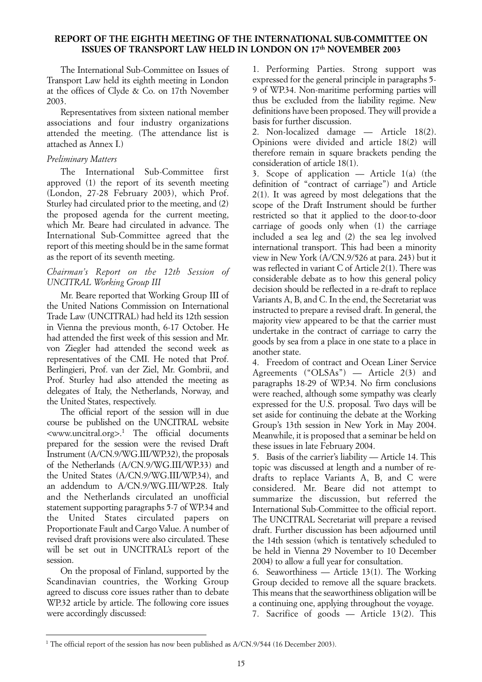## <span id="page-14-0"></span>**REPORT OF THE EIGHTH MEETING OF THE INTERNATIONAL SUB-COMMITTEE ON ISSUES OF TRANSPORT LAW HELD IN LONDON ON 17th NOVEMBER 2003**

The International Sub-Committee on Issues of Transport Law held its eighth meeting in London at the offices of Clyde & Co. on 17th November 2003.

Representatives from sixteen national member associations and four industry organizations attended the meeting. (The attendance list is attached as Annex I.)

## *Preliminary Matters*

The International Sub-Committee first approved (1) the report of its seventh meeting (London, 27-28 February 2003), which Prof. Sturley had circulated prior to the meeting, and (2) the proposed agenda for the current meeting, which Mr. Beare had circulated in advance. The International Sub-Committee agreed that the report of this meeting should be in the same format as the report of its seventh meeting.

## *Chairman's Report on the 12th Session of UNCITRAL Working Group III*

Mr. Beare reported that Working Group III of the United Nations Commission on International Trade Law (UNCITRAL) had held its 12th session in Vienna the previous month, 6-17 October. He had attended the first week of this session and Mr. von Ziegler had attended the second week as representatives of the CMI. He noted that Prof. Berlingieri, Prof. van der Ziel, Mr. Gombrii, and Prof. Sturley had also attended the meeting as delegates of Italy, the Netherlands, Norway, and the United States, respectively.

The official report of the session will in due course be published on the UNCITRAL website <www.uncitral.org>.1 The official documents prepared for the session were the revised Draft Instrument (A/CN.9/WG.III/WP.32), the proposals of the Netherlands (A/CN.9/WG.III/WP.33) and the United States (A/CN.9/WG.III/WP.34), and an addendum to A/CN.9/WG.III/WP.28. Italy and the Netherlands circulated an unofficial statement supporting paragraphs 5-7 of WP.34 and the United States circulated papers on Proportionate Fault and Cargo Value. A number of revised draft provisions were also circulated. These will be set out in UNCITRAL's report of the session.

On the proposal of Finland, supported by the Scandinavian countries, the Working Group agreed to discuss core issues rather than to debate WP.32 article by article. The following core issues were accordingly discussed:

1. Performing Parties. Strong support was expressed for the general principle in paragraphs 5- 9 of WP.34. Non-maritime performing parties will thus be excluded from the liability regime. New definitions have been proposed. They will provide a basis for further discussion.

2. Non-localized damage — Article 18(2). Opinions were divided and article 18(2) will therefore remain in square brackets pending the consideration of article 18(1).

3. Scope of application — Article 1(a) (the definition of "contract of carriage") and Article  $2(1)$ . It was agreed by most delegations that the scope of the Draft Instrument should be further restricted so that it applied to the door-to-door carriage of goods only when (1) the carriage included a sea leg and (2) the sea leg involved international transport. This had been a minority view in New York (A/CN.9/526 at para. 243) but it was reflected in variant C of Article 2(1). There was considerable debate as to how this general policy decision should be reflected in a re-draft to replace Variants A, B, and C. In the end, the Secretariat was instructed to prepare a revised draft. In general, the majority view appeared to be that the carrier must undertake in the contract of carriage to carry the goods by sea from a place in one state to a place in another state.

4. Freedom of contract and Ocean Liner Service Agreements ("OLSAs") — Article 2(3) and paragraphs 18-29 of WP.34. No firm conclusions were reached, although some sympathy was clearly expressed for the U.S. proposal. Two days will be set aside for continuing the debate at the Working Group's 13th session in New York in May 2004. Meanwhile, it is proposed that a seminar be held on these issues in late February 2004.

5. Basis of the carrier's liability — Article 14. This topic was discussed at length and a number of redrafts to replace Variants A, B, and C were considered. Mr. Beare did not attempt to summarize the discussion, but referred the International Sub-Committee to the official report. The UNCITRAL Secretariat will prepare a revised draft. Further discussion has been adjourned until the 14th session (which is tentatively scheduled to be held in Vienna 29 November to 10 December 2004) to allow a full year for consultation.

6. Seaworthiness — Article 13(1). The Working Group decided to remove all the square brackets. This means that the seaworthiness obligation will be a continuing one, applying throughout the voyage. 7. Sacrifice of goods — Article 13(2). This

<sup>&</sup>lt;sup>1</sup> The official report of the session has now been published as A/CN.9/544 (16 December 2003).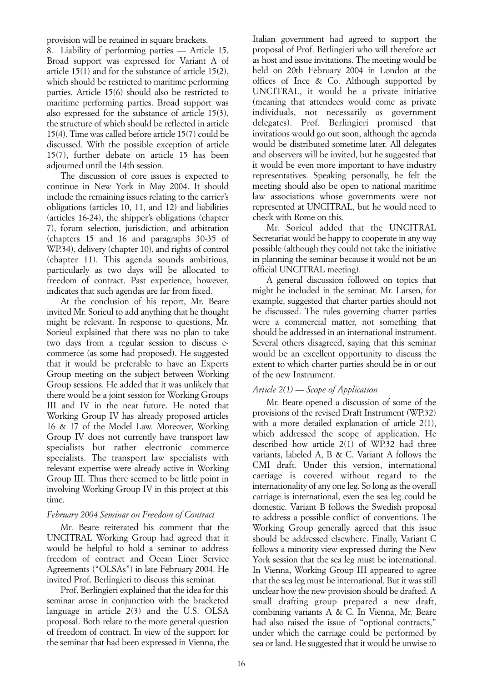provision will be retained in square brackets.

8. Liability of performing parties — Article 15. Broad support was expressed for Variant A of article 15(1) and for the substance of article 15(2), which should be restricted to maritime performing parties. Article 15(6) should also be restricted to maritime performing parties. Broad support was also expressed for the substance of article 15(3), the structure of which should be reflected in article 15(4). Time was called before article 15(7) could be discussed. With the possible exception of article 15(7), further debate on article 15 has been adjourned until the 14th session.

The discussion of core issues is expected to continue in New York in May 2004. It should include the remaining issues relating to the carrier's obligations (articles 10, 11, and 12) and liabilities (articles 16-24), the shipper's obligations (chapter 7), forum selection, jurisdiction, and arbitration (chapters 15 and 16 and paragraphs 30-35 of WP.34), delivery (chapter 10), and rights of control (chapter 11). This agenda sounds ambitious, particularly as two days will be allocated to freedom of contract. Past experience, however, indicates that such agendas are far from fixed.

At the conclusion of his report, Mr. Beare invited Mr. Sorieul to add anything that he thought might be relevant. In response to questions, Mr. Sorieul explained that there was no plan to take two days from a regular session to discuss ecommerce (as some had proposed). He suggested that it would be preferable to have an Experts Group meeting on the subject between Working Group sessions. He added that it was unlikely that there would be a joint session for Working Groups III and IV in the near future. He noted that Working Group IV has already proposed articles 16 & 17 of the Model Law. Moreover, Working Group IV does not currently have transport law specialists but rather electronic commerce specialists. The transport law specialists with relevant expertise were already active in Working Group III. Thus there seemed to be little point in involving Working Group IV in this project at this time.

## *February 2004 Seminar on Freedom of Contract*

Mr. Beare reiterated his comment that the UNCITRAL Working Group had agreed that it would be helpful to hold a seminar to address freedom of contract and Ocean Liner Service Agreements ("OLSAs") in late February 2004. He invited Prof. Berlingieri to discuss this seminar.

Prof. Berlingieri explained that the idea for this seminar arose in conjunction with the bracketed language in article 2(3) and the U.S. OLSA proposal. Both relate to the more general question of freedom of contract. In view of the support for the seminar that had been expressed in Vienna, the

Italian government had agreed to support the proposal of Prof. Berlingieri who will therefore act as host and issue invitations. The meeting would be held on 20th February 2004 in London at the offices of Ince & Co. Although supported by UNCITRAL, it would be a private initiative (meaning that attendees would come as private individuals, not necessarily as government delegates). Prof. Berlingieri promised that invitations would go out soon, although the agenda would be distributed sometime later. All delegates and observers will be invited, but he suggested that it would be even more important to have industry representatives. Speaking personally, he felt the meeting should also be open to national maritime law associations whose governments were not represented at UNCITRAL, but he would need to check with Rome on this.

Mr. Sorieul added that the UNCITRAL Secretariat would be happy to cooperate in any way possible (although they could not take the initiative in planning the seminar because it would not be an official UNCITRAL meeting).

A general discussion followed on topics that might be included in the seminar. Mr. Larsen, for example, suggested that charter parties should not be discussed. The rules governing charter parties were a commercial matter, not something that should be addressed in an international instrument. Several others disagreed, saying that this seminar would be an excellent opportunity to discuss the extent to which charter parties should be in or out of the new Instrument.

## *Article 2(1) — Scope of Application*

Mr. Beare opened a discussion of some of the provisions of the revised Draft Instrument (WP.32) with a more detailed explanation of article 2(1), which addressed the scope of application. He described how article 2(1) of WP.32 had three variants, labeled A, B & C. Variant A follows the CMI draft. Under this version, international carriage is covered without regard to the internationality of any one leg. So long as the overall carriage is international, even the sea leg could be domestic. Variant B follows the Swedish proposal to address a possible conflict of conventions. The Working Group generally agreed that this issue should be addressed elsewhere. Finally, Variant C follows a minority view expressed during the New York session that the sea leg must be international. In Vienna, Working Group III appeared to agree that the sea leg must be international. But it was still unclear how the new provision should be drafted. A small drafting group prepared a new draft, combining variants A & C. In Vienna, Mr. Beare had also raised the issue of "optional contracts," under which the carriage could be performed by sea or land. He suggested that it would be unwise to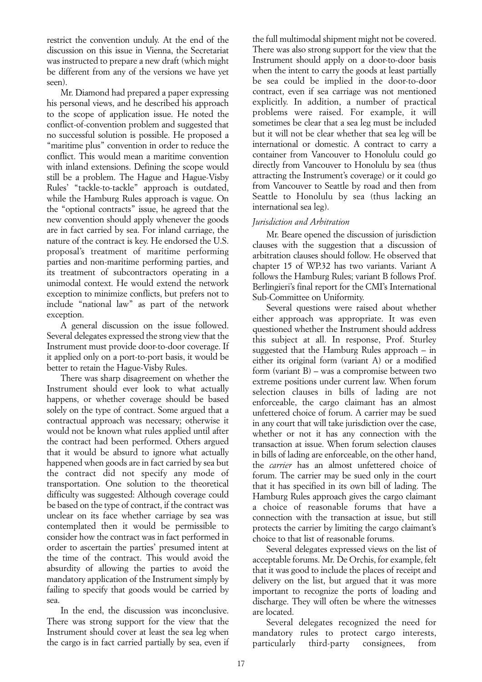restrict the convention unduly. At the end of the discussion on this issue in Vienna, the Secretariat was instructed to prepare a new draft (which might be different from any of the versions we have yet seen).

Mr. Diamond had prepared a paper expressing his personal views, and he described his approach to the scope of application issue. He noted the conflict-of-convention problem and suggested that no successful solution is possible. He proposed a "maritime plus" convention in order to reduce the conflict. This would mean a maritime convention with inland extensions. Defining the scope would still be a problem. The Hague and Hague-Visby Rules' "tackle-to-tackle" approach is outdated, while the Hamburg Rules approach is vague. On the "optional contracts" issue, he agreed that the new convention should apply whenever the goods are in fact carried by sea. For inland carriage, the nature of the contract is key. He endorsed the U.S. proposal's treatment of maritime performing parties and non-maritime performing parties, and its treatment of subcontractors operating in a unimodal context. He would extend the network exception to minimize conflicts, but prefers not to include "national law" as part of the network exception.

A general discussion on the issue followed. Several delegates expressed the strong view that the Instrument must provide door-to-door coverage. If it applied only on a port-to-port basis, it would be better to retain the Hague-Visby Rules.

There was sharp disagreement on whether the Instrument should ever look to what actually happens, or whether coverage should be based solely on the type of contract. Some argued that a contractual approach was necessary; otherwise it would not be known what rules applied until after the contract had been performed. Others argued that it would be absurd to ignore what actually happened when goods are in fact carried by sea but the contract did not specify any mode of transportation. One solution to the theoretical difficulty was suggested: Although coverage could be based on the type of contract, if the contract was unclear on its face whether carriage by sea was contemplated then it would be permissible to consider how the contract was in fact performed in order to ascertain the parties' presumed intent at the time of the contract. This would avoid the absurdity of allowing the parties to avoid the mandatory application of the Instrument simply by failing to specify that goods would be carried by sea.

In the end, the discussion was inconclusive. There was strong support for the view that the Instrument should cover at least the sea leg when the cargo is in fact carried partially by sea, even if

the full multimodal shipment might not be covered. There was also strong support for the view that the Instrument should apply on a door-to-door basis when the intent to carry the goods at least partially be sea could be implied in the door-to-door contract, even if sea carriage was not mentioned explicitly. In addition, a number of practical problems were raised. For example, it will sometimes be clear that a sea leg must be included but it will not be clear whether that sea leg will be international or domestic. A contract to carry a container from Vancouver to Honolulu could go directly from Vancouver to Honolulu by sea (thus attracting the Instrument's coverage) or it could go from Vancouver to Seattle by road and then from Seattle to Honolulu by sea (thus lacking an international sea leg).

## *Jurisdiction and Arbitration*

Mr. Beare opened the discussion of jurisdiction clauses with the suggestion that a discussion of arbitration clauses should follow. He observed that chapter 15 of WP.32 has two variants. Variant A follows the Hamburg Rules; variant B follows Prof. Berlingieri's final report for the CMI's International Sub-Committee on Uniformity.

Several questions were raised about whether either approach was appropriate. It was even questioned whether the Instrument should address this subject at all. In response, Prof. Sturley suggested that the Hamburg Rules approach – in either its original form (variant A) or a modified form (variant B) – was a compromise between two extreme positions under current law. When forum selection clauses in bills of lading are not enforceable, the cargo claimant has an almost unfettered choice of forum. A carrier may be sued in any court that will take jurisdiction over the case, whether or not it has any connection with the transaction at issue. When forum selection clauses in bills of lading are enforceable, on the other hand, the *carrier* has an almost unfettered choice of forum. The carrier may be sued only in the court that it has specified in its own bill of lading. The Hamburg Rules approach gives the cargo claimant a choice of reasonable forums that have a connection with the transaction at issue, but still protects the carrier by limiting the cargo claimant's choice to that list of reasonable forums.

Several delegates expressed views on the list of acceptable forums. Mr. De Orchis, for example, felt that it was good to include the places of receipt and delivery on the list, but argued that it was more important to recognize the ports of loading and discharge. They will often be where the witnesses are located.

Several delegates recognized the need for mandatory rules to protect cargo interests, particularly third-party consignees, from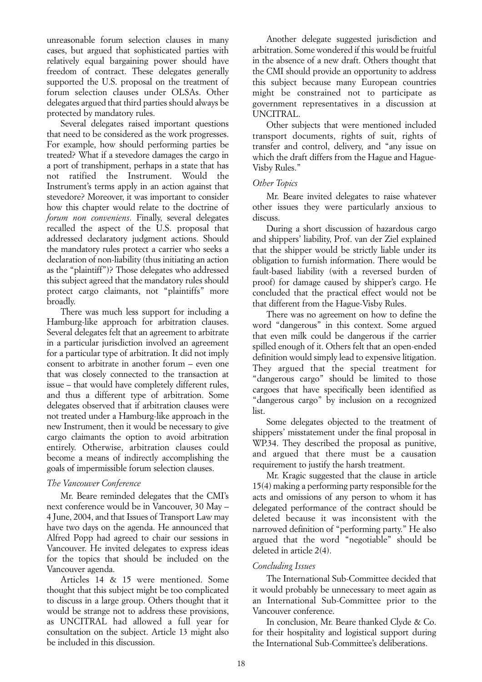unreasonable forum selection clauses in many cases, but argued that sophisticated parties with relatively equal bargaining power should have freedom of contract. These delegates generally supported the U.S. proposal on the treatment of forum selection clauses under OLSAs. Other delegates argued that third parties should always be protected by mandatory rules.

Several delegates raised important questions that need to be considered as the work progresses. For example, how should performing parties be treated? What if a stevedore damages the cargo in a port of transhipment, perhaps in a state that has not ratified the Instrument. Would the Instrument's terms apply in an action against that stevedore? Moreover, it was important to consider how this chapter would relate to the doctrine of *forum non conveniens*. Finally, several delegates recalled the aspect of the U.S. proposal that addressed declaratory judgment actions. Should the mandatory rules protect a carrier who seeks a declaration of non-liability (thus initiating an action as the "plaintiff")? Those delegates who addressed this subject agreed that the mandatory rules should protect cargo claimants, not "plaintiffs" more broadly.

There was much less support for including a Hamburg-like approach for arbitration clauses. Several delegates felt that an agreement to arbitrate in a particular jurisdiction involved an agreement for a particular type of arbitration. It did not imply consent to arbitrate in another forum – even one that was closely connected to the transaction at issue – that would have completely different rules, and thus a different type of arbitration. Some delegates observed that if arbitration clauses were not treated under a Hamburg-like approach in the new Instrument, then it would be necessary to give cargo claimants the option to avoid arbitration entirely. Otherwise, arbitration clauses could become a means of indirectly accomplishing the goals of impermissible forum selection clauses.

## *The Vancouver Conference*

Mr. Beare reminded delegates that the CMI's next conference would be in Vancouver, 30 May – 4 June, 2004, and that Issues of Transport Law may have two days on the agenda. He announced that Alfred Popp had agreed to chair our sessions in Vancouver. He invited delegates to express ideas for the topics that should be included on the Vancouver agenda.

Articles 14 & 15 were mentioned. Some thought that this subject might be too complicated to discuss in a large group. Others thought that it would be strange not to address these provisions, as UNCITRAL had allowed a full year for consultation on the subject. Article 13 might also be included in this discussion.

Another delegate suggested jurisdiction and arbitration. Some wondered if this would be fruitful in the absence of a new draft. Others thought that the CMI should provide an opportunity to address this subject because many European countries might be constrained not to participate as government representatives in a discussion at UNCITRAL.

Other subjects that were mentioned included transport documents, rights of suit, rights of transfer and control, delivery, and "any issue on which the draft differs from the Hague and Hague-Visby Rules."

## *Other Topics*

Mr. Beare invited delegates to raise whatever other issues they were particularly anxious to discuss.

During a short discussion of hazardous cargo and shippers' liability, Prof. van der Ziel explained that the shipper would be strictly liable under its obligation to furnish information. There would be fault-based liability (with a reversed burden of proof) for damage caused by shipper's cargo. He concluded that the practical effect would not be that different from the Hague-Visby Rules.

There was no agreement on how to define the word "dangerous" in this context. Some argued that even milk could be dangerous if the carrier spilled enough of it. Others felt that an open-ended definition would simply lead to expensive litigation. They argued that the special treatment for "dangerous cargo" should be limited to those cargoes that have specifically been identified as "dangerous cargo" by inclusion on a recognized list.

Some delegates objected to the treatment of shippers' misstatement under the final proposal in WP.34. They described the proposal as punitive, and argued that there must be a causation requirement to justify the harsh treatment.

Mr. Kragic suggested that the clause in article 15(4) making a performing party responsible for the acts and omissions of any person to whom it has delegated performance of the contract should be deleted because it was inconsistent with the narrowed definition of "performing party." He also argued that the word "negotiable" should be deleted in article 2(4).

## *Concluding Issues*

The International Sub-Committee decided that it would probably be unnecessary to meet again as an International Sub-Committee prior to the Vancouver conference.

In conclusion, Mr. Beare thanked Clyde & Co. for their hospitality and logistical support during the International Sub-Committee's deliberations.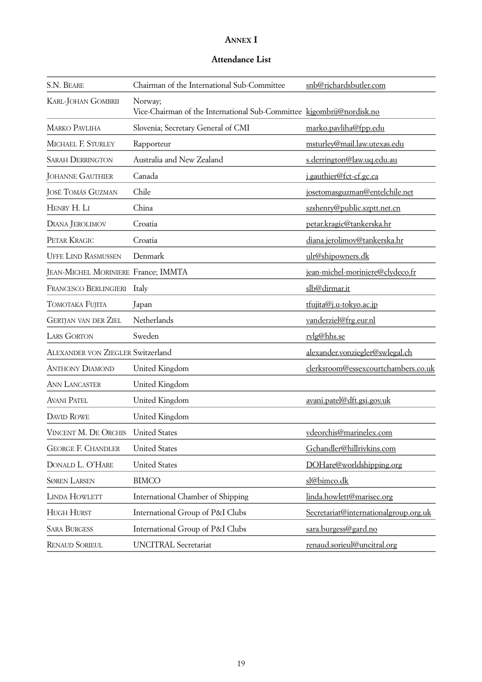# **ANNEX I**

# **Attendance List**

| S.N. BEARE                               | Chairman of the International Sub-Committee                                      | snb@richardsbutler.com                |
|------------------------------------------|----------------------------------------------------------------------------------|---------------------------------------|
| KARL-JOHAN GOMBRII                       | Norway;<br>Vice-Chairman of the International Sub-Committee kigombrii@nordisk.no |                                       |
| <b>MARKO PAVLIHA</b>                     | Slovenia; Secretary General of CMI                                               | marko.pavliha@fpp.edu                 |
| MICHAEL F. STURLEY                       | Rapporteur                                                                       | msturley@mail.law.utexas.edu          |
| <b>SARAH DERRINGTON</b>                  | Australia and New Zealand                                                        | s.derrington@law.uq.edu.au            |
| <b>JOHANNE GAUTHIER</b>                  | Canada                                                                           | j.gauthier@fct-cf.gc.ca               |
| <b>JOSÉ TOMÁS GUZMAN</b>                 | Chile                                                                            | josetomasguzman@entelchile.net        |
| HENRY H. LI                              | China                                                                            | szshenry@public.szptt.net.cn          |
| DIANA JEROLIMOV                          | Croatia                                                                          | petar.kragic@tankerska.hr             |
| PETAR KRAGIC                             | Croatia                                                                          | diana.jerolimov@tankerska.hr          |
| <b>UFFE LIND RASMUSSEN</b>               | Denmark                                                                          | ulr@shipowners.dk                     |
| JEAN-MICHEL MORINIERE France; IMMTA      |                                                                                  | jean-michel-moriniere@clydeco.fr      |
| FRANCESCO BERLINGIERI                    | Italy                                                                            | slb@dirmar.it                         |
| TOMOTAKA FUJITA                          | Japan                                                                            | tfujita@j.u-tokyo.ac.jp               |
| <b>GERTJAN VAN DER ZIEL</b>              | Netherlands                                                                      | vanderziel@frg.eur.nl                 |
| <b>LARS GORTON</b>                       | Sweden                                                                           | rylg@hhs.se                           |
| <b>ALEXANDER VON ZIEGLER Switzerland</b> |                                                                                  | alexander.vonziegler@swlegal.ch       |
| <b>ANTHONY DIAMOND</b>                   | United Kingdom                                                                   | clerksroom@essexcourtchambers.co.uk   |
| <b>ANN LANCASTER</b>                     | United Kingdom                                                                   |                                       |
| <b>AVANI PATEL</b>                       | United Kingdom                                                                   | avani.patel@dft.gsi.gov.uk            |
| <b>DAVID ROWE</b>                        | United Kingdom                                                                   |                                       |
| VINCENT M. DE ORCHIS                     | <b>United States</b>                                                             | vdeorchis@marinelex.com               |
| <b>GEORGE F. CHANDLER</b>                | <b>United States</b>                                                             | Gchandler@hillrivkins.com             |
| DONALD L. O'HARE                         | <b>United States</b>                                                             | DOHare@worldshipping.org              |
| <b>SØREN LARSEN</b>                      | <b>BIMCO</b>                                                                     | sl@bimco.dk                           |
| <b>LINDA HOWLETT</b>                     | International Chamber of Shipping                                                | linda.howlett@marisec.org             |
| <b>HUGH HURST</b>                        | International Group of P&I Clubs                                                 | Secretariat@internationalgroup.org.uk |
| <b>SARA BURGESS</b>                      | International Group of P&I Clubs                                                 | sara.burgess@gard.no                  |
| <b>RENAUD SORIEUL</b>                    | <b>UNCITRAL Secretariat</b>                                                      | renaud.sorieul@uncitral.org           |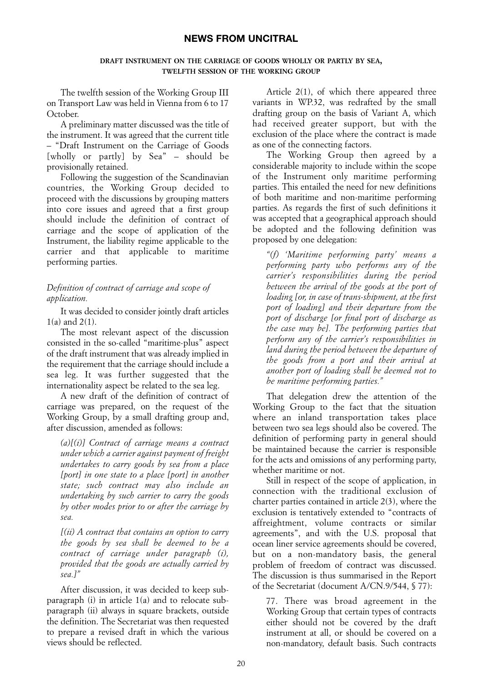## **NEWS FROM UNCITRAL**

#### **DRAFT INSTRUMENT ON THE CARRIAGE OF GOODS WHOLLY OR PARTLY BY SEA, TWELFTH SESSION OF THE WORKING GROUP**

<span id="page-19-0"></span>The twelfth session of the Working Group III on Transport Law was held in Vienna from 6 to 17 October.

A preliminary matter discussed was the title of the instrument. It was agreed that the current title – "Draft Instrument on the Carriage of Goods [wholly or partly] by Sea" – should be provisionally retained.

Following the suggestion of the Scandinavian countries, the Working Group decided to proceed with the discussions by grouping matters into core issues and agreed that a first group should include the definition of contract of carriage and the scope of application of the Instrument, the liability regime applicable to the carrier and that applicable to maritime performing parties.

## *Definition of contract of carriage and scope of application.*

It was decided to consider jointly draft articles 1(a) and 2(1).

The most relevant aspect of the discussion consisted in the so-called "maritime-plus" aspect of the draft instrument that was already implied in the requirement that the carriage should include a sea leg. It was further suggested that the internationality aspect be related to the sea leg.

A new draft of the definition of contract of carriage was prepared, on the request of the Working Group, by a small drafting group and, after discussion, amended as follows:

*(a)[(i)] Contract of carriage means a contract under which a carrier against payment of freight undertakes to carry goods by sea from a place [port] in one state to a place [port] in another state; such contract may also include an undertaking by such carrier to carry the goods by other modes prior to or after the carriage by sea.*

*[(ii) A contract that contains an option to carry the goods by sea shall be deemed to be a contract of carriage under paragraph (i), provided that the goods are actually carried by sea.]"*

After discussion, it was decided to keep subparagraph (i) in article 1(a) and to relocate subparagraph (ii) always in square brackets, outside the definition. The Secretariat was then requested to prepare a revised draft in which the various views should be reflected.

Article 2(1), of which there appeared three variants in WP.32, was redrafted by the small drafting group on the basis of Variant A, which had received greater support, but with the exclusion of the place where the contract is made as one of the connecting factors.

The Working Group then agreed by a considerable majority to include within the scope of the Instrument only maritime performing parties. This entailed the need for new definitions of both maritime and non-maritime performing parties. As regards the first of such definitions it was accepted that a geographical approach should be adopted and the following definition was proposed by one delegation:

*"(f) 'Maritime performing party' means a performing party who performs any of the carrier's responsibilities during the period between the arrival of the goods at the port of loading [or, in case of trans-shipment, at the first port of loading] and their departure from the port of discharge [or final port of discharge as the case may be]. The performing parties that perform any of the carrier's responsibilities in land during the period between the departure of the goods from a port and their arrival at another port of loading shall be deemed not to be maritime performing parties."*

That delegation drew the attention of the Working Group to the fact that the situation where an inland transportation takes place between two sea legs should also be covered. The definition of performing party in general should be maintained because the carrier is responsible for the acts and omissions of any performing party, whether maritime or not.

Still in respect of the scope of application, in connection with the traditional exclusion of charter parties contained in article 2(3), where the exclusion is tentatively extended to "contracts of affreightment, volume contracts or similar agreements", and with the U.S. proposal that ocean liner service agreements should be covered, but on a non-mandatory basis, the general problem of freedom of contract was discussed. The discussion is thus summarised in the Report of the Secretariat (document A/CN.9/544, § 77):

77. There was broad agreement in the Working Group that certain types of contracts either should not be covered by the draft instrument at all, or should be covered on a non-mandatory, default basis. Such contracts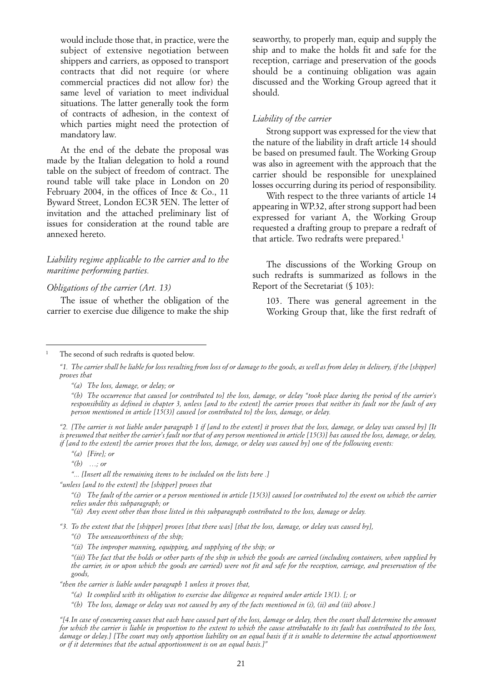would include those that, in practice, were the subject of extensive negotiation between shippers and carriers, as opposed to transport contracts that did not require (or where commercial practices did not allow for) the same level of variation to meet individual situations. The latter generally took the form of contracts of adhesion, in the context of which parties might need the protection of mandatory law.

At the end of the debate the proposal was made by the Italian delegation to hold a round table on the subject of freedom of contract. The round table will take place in London on 20 February 2004, in the offices of Ince & Co., 11 Byward Street, London EC3R 5EN. The letter of invitation and the attached preliminary list of issues for consideration at the round table are annexed hereto.

*Liability regime applicable to the carrier and to the maritime performing parties.*

#### *Obligations of the carrier (Art. 13)*

The issue of whether the obligation of the carrier to exercise due diligence to make the ship seaworthy, to properly man, equip and supply the ship and to make the holds fit and safe for the reception, carriage and preservation of the goods should be a continuing obligation was again discussed and the Working Group agreed that it should.

#### *Liability of the carrier*

Strong support was expressed for the view that the nature of the liability in draft article 14 should be based on presumed fault. The Working Group was also in agreement with the approach that the carrier should be responsible for unexplained losses occurring during its period of responsibility.

With respect to the three variants of article 14 appearing in WP.32, after strong support had been expressed for variant A, the Working Group requested a drafting group to prepare a redraft of that article. Two redrafts were prepared.<sup>1</sup>

The discussions of the Working Group on such redrafts is summarized as follows in the Report of the Secretariat (§ 103):

103. There was general agreement in the Working Group that, like the first redraft of

*"2. [The carrier is not liable under paragraph 1 if [and to the extent] it proves that the loss, damage, or delay was caused by] [It is presumed that neither the carrier's fault nor that of any person mentioned in article [15(3)] has caused the loss, damage, or delay, if [and to the extent] the carrier proves that the loss, damage, or delay was caused by] one of the following events:*

*"... [Insert all the remaining items to be included on the lists here .]*

*"(i) The fault of the carrier or a person mentioned in article [15(3)] caused [or contributed to] the event on which the carrier relies under this subparagraph; or*

*"(ii) Any event other than those listed in this subparagraph contributed to the loss, damage or delay.*

*"3. To the extent that the [shipper] proves [that there was] [that the loss, damage, or delay was caused by],*

*"(i) The unseaworthiness of the ship;*

*"then the carrier is liable under paragraph 1 unless it proves that,*

The second of such redrafts is quoted below.

*<sup>&</sup>quot;1. The carrier shall be liable for loss resulting from loss of or damage to the goods, as well as from delay in delivery, if the [shipper] proves that* 

*<sup>&</sup>quot;(a) The loss, damage, or delay; or* 

*<sup>&</sup>quot;(b) The occurrence that caused [or contributed to] the loss, damage, or delay "took place during the period of the carrier's responsibility as defined in chapter 3, unless [and to the extent] the carrier proves that neither its fault nor the fault of any person mentioned in article [15(3)] caused [or contributed to] the loss, damage, or delay.*

*<sup>&</sup>quot;(a) [Fire]; or* 

*<sup>&</sup>quot;(b) …; or*

*<sup>&</sup>quot;unless [and to the extent] the [shipper] proves that* 

*<sup>&</sup>quot;(ii) The improper manning, equipping, and supplying of the ship; or*

*<sup>&</sup>quot;(iii) The fact that the holds or other parts of the ship in which the goods are carried (including containers, when supplied by the carrier, in or upon which the goods are carried) were not fit and safe for the reception, carriage, and preservation of the goods,*

*<sup>&</sup>quot;(a) It complied with its obligation to exercise due diligence as required under article 13(1). [; or*

*<sup>&</sup>quot;(b) The loss, damage or delay was not caused by any of the facts mentioned in (i), (ii) and (iii) above.]*

*<sup>&</sup>quot;[4.In case of concurring causes that each have caused part of the loss, damage or delay, then the court shall determine the amount for which the carrier is liable in proportion to the extent to which the cause attributable to its fault has contributed to the loss, damage or delay.] [The court may only apportion liability on an equal basis if it is unable to determine the actual apportionment or if it determines that the actual apportionment is on an equal basis.]"*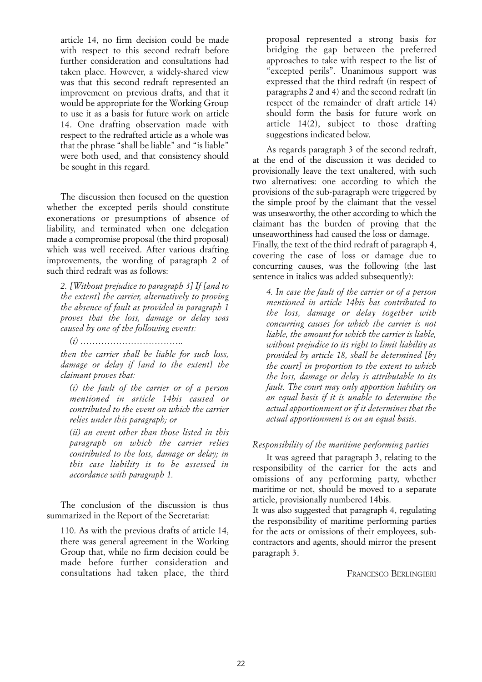article 14, no firm decision could be made with respect to this second redraft before further consideration and consultations had taken place. However, a widely-shared view was that this second redraft represented an improvement on previous drafts, and that it would be appropriate for the Working Group to use it as a basis for future work on article 14. One drafting observation made with respect to the redrafted article as a whole was that the phrase "shall be liable" and "is liable" were both used, and that consistency should be sought in this regard.

The discussion then focused on the question whether the excepted perils should constitute exonerations or presumptions of absence of liability, and terminated when one delegation made a compromise proposal (the third proposal) which was well received. After various drafting improvements, the wording of paragraph 2 of such third redraft was as follows:

*2. [Without prejudice to paragraph 3] If [and to the extent] the carrier, alternatively to proving the absence of fault as provided in paragraph 1 proves that the loss, damage or delay was caused by one of the following events:*

*(i) ……………………………..*

*then the carrier shall be liable for such loss, damage or delay if [and to the extent] the claimant proves that:*

*(i) the fault of the carrier or of a person mentioned in article 14bis caused or contributed to the event on which the carrier relies under this paragraph; or* 

*(ii) an event other than those listed in this paragraph on which the carrier relies contributed to the loss, damage or delay; in this case liability is to be assessed in accordance with paragraph 1.*

The conclusion of the discussion is thus summarized in the Report of the Secretariat:

110. As with the previous drafts of article 14, there was general agreement in the Working Group that, while no firm decision could be made before further consideration and consultations had taken place, the third

proposal represented a strong basis for bridging the gap between the preferred approaches to take with respect to the list of "excepted perils". Unanimous support was expressed that the third redraft (in respect of paragraphs 2 and 4) and the second redraft (in respect of the remainder of draft article 14) should form the basis for future work on article 14(2), subject to those drafting suggestions indicated below.

As regards paragraph 3 of the second redraft, at the end of the discussion it was decided to provisionally leave the text unaltered, with such two alternatives: one according to which the provisions of the sub-paragraph were triggered by the simple proof by the claimant that the vessel was unseaworthy, the other according to which the claimant has the burden of proving that the unseaworthiness had caused the loss or damage. Finally, the text of the third redraft of paragraph 4, covering the case of loss or damage due to concurring causes, was the following (the last sentence in italics was added subsequently):

*4. In case the fault of the carrier or of a person mentioned in article 14bis has contributed to the loss, damage or delay together with concurring causes for which the carrier is not liable, the amount for which the carrier is liable, without prejudice to its right to limit liability as provided by article 18, shall be determined [by the court] in proportion to the extent to which the loss, damage or delay is attributable to its fault. The court may only apportion liability on an equal basis if it is unable to determine the actual apportionment or if it determines that the actual apportionment is on an equal basis.*

## *Responsibility of the maritime performing parties*

It was agreed that paragraph 3, relating to the responsibility of the carrier for the acts and omissions of any performing party, whether maritime or not, should be moved to a separate article, provisionally numbered 14bis.

It was also suggested that paragraph 4, regulating the responsibility of maritime performing parties for the acts or omissions of their employees, subcontractors and agents, should mirror the present paragraph 3.

FRANCESCO BERLINGIERI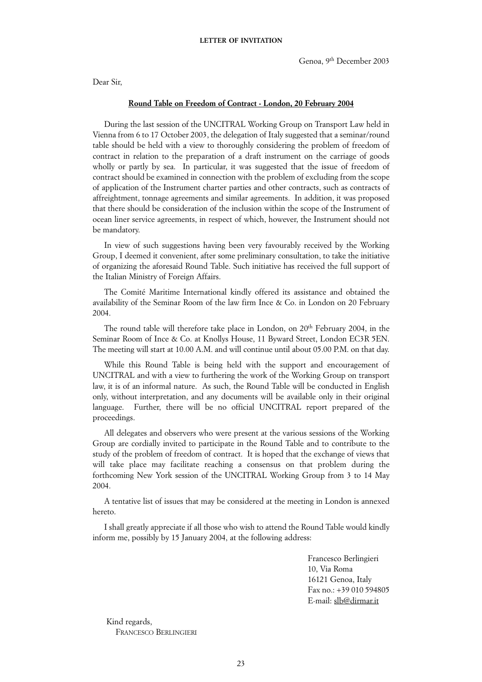Dear Sir,

#### **Round Table on Freedom of Contract - London, 20 February 2004**

During the last session of the UNCITRAL Working Group on Transport Law held in Vienna from 6 to 17 October 2003, the delegation of Italy suggested that a seminar/round table should be held with a view to thoroughly considering the problem of freedom of contract in relation to the preparation of a draft instrument on the carriage of goods wholly or partly by sea. In particular, it was suggested that the issue of freedom of contract should be examined in connection with the problem of excluding from the scope of application of the Instrument charter parties and other contracts, such as contracts of affreightment, tonnage agreements and similar agreements. In addition, it was proposed that there should be consideration of the inclusion within the scope of the Instrument of ocean liner service agreements, in respect of which, however, the Instrument should not be mandatory.

In view of such suggestions having been very favourably received by the Working Group, I deemed it convenient, after some preliminary consultation, to take the initiative of organizing the aforesaid Round Table. Such initiative has received the full support of the Italian Ministry of Foreign Affairs.

The Comité Maritime International kindly offered its assistance and obtained the availability of the Seminar Room of the law firm Ince & Co. in London on 20 February 2004.

The round table will therefore take place in London, on 20<sup>th</sup> February 2004, in the Seminar Room of Ince & Co. at Knollys House, 11 Byward Street, London EC3R 5EN. The meeting will start at 10.00 A.M. and will continue until about 05.00 P.M. on that day.

While this Round Table is being held with the support and encouragement of UNCITRAL and with a view to furthering the work of the Working Group on transport law, it is of an informal nature. As such, the Round Table will be conducted in English only, without interpretation, and any documents will be available only in their original language. Further, there will be no official UNCITRAL report prepared of the proceedings.

All delegates and observers who were present at the various sessions of the Working Group are cordially invited to participate in the Round Table and to contribute to the study of the problem of freedom of contract. It is hoped that the exchange of views that will take place may facilitate reaching a consensus on that problem during the forthcoming New York session of the UNCITRAL Working Group from 3 to 14 May 2004.

A tentative list of issues that may be considered at the meeting in London is annexed hereto.

I shall greatly appreciate if all those who wish to attend the Round Table would kindly inform me, possibly by 15 January 2004, at the following address:

> Francesco Berlingieri 10, Via Roma 16121 Genoa, Italy Fax no.: +39 010 594805 E-mail: slb@dirmar.it

Kind regards, FRANCESCO BERLINGIERI